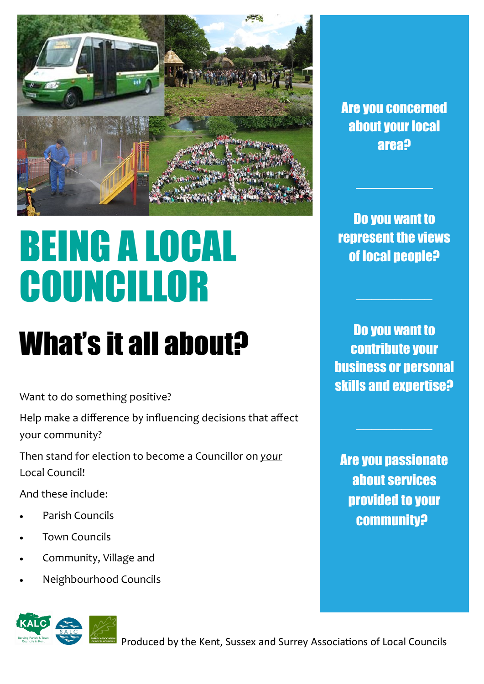

# BEING A LOCAL COUNCILLOR

## What's it all about?

Want to do something positive?

Help make a difference by influencing decisions that affect your community?

Then stand for election to become a Councillor on *your*  Local Council!

And these include:

- Parish Councils
- Town Councils
- Community, Village and
- Neighbourhood Councils





Are you concerned about your local area?

Do you want to represent the views of local people?

 $\mathcal{L}=\mathcal{L}$ 

Do you want to contribute your business or personal skills and expertise?

Are you passionate about services provided to your community?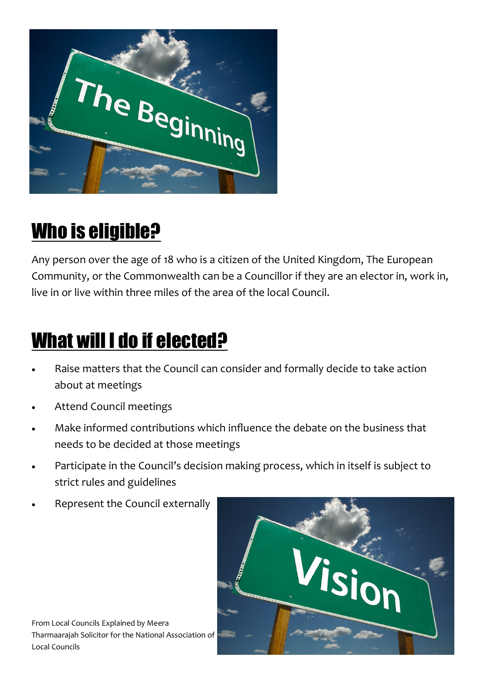

#### Who is eligible?

Any person over the age of 18 who is a citizen of the United Kingdom, The European Community, or the Commonwealth can be a Councillor if they are an elector in, work in, live in or live within three miles of the area of the local Council.

#### What will I do if elected?

- Raise matters that the Council can consider and formally decide to take action about at meetings
- Attend Council meetings
- Make informed contributions which influence the debate on the business that needs to be decided at those meetings
- Participate in the Council's decision making process, which in itself is subject to strict rules and guidelines
- Represent the Council externally



From Local Councils Explained by Meera Tharmaarajah Solicitor for the National Association of Local Councils